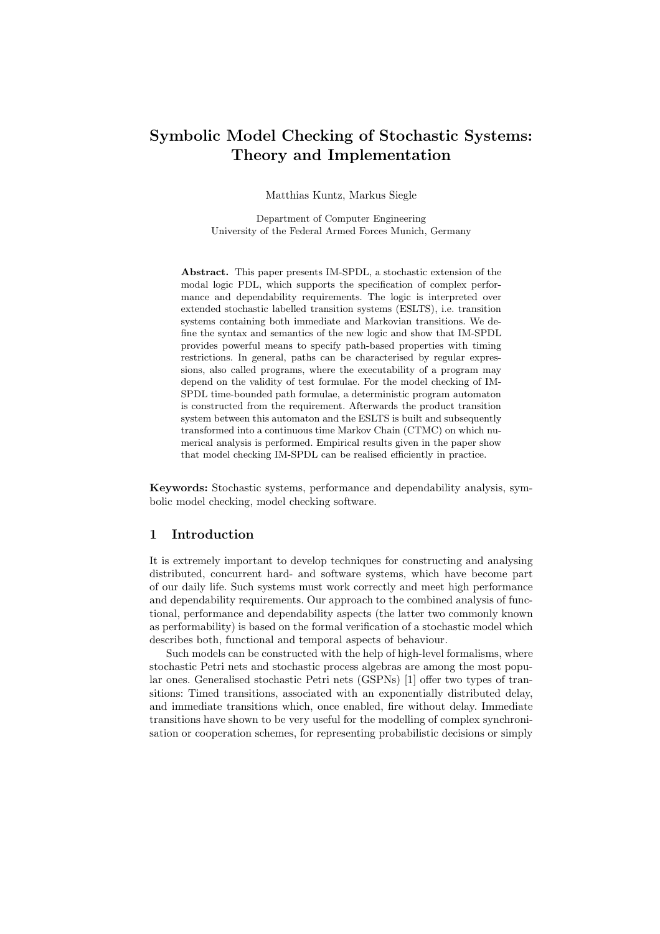# Symbolic Model Checking of Stochastic Systems: Theory and Implementation

Matthias Kuntz, Markus Siegle

Department of Computer Engineering University of the Federal Armed Forces Munich, Germany

Abstract. This paper presents IM-SPDL, a stochastic extension of the modal logic PDL, which supports the specification of complex performance and dependability requirements. The logic is interpreted over extended stochastic labelled transition systems (ESLTS), i.e. transition systems containing both immediate and Markovian transitions. We define the syntax and semantics of the new logic and show that IM-SPDL provides powerful means to specify path-based properties with timing restrictions. In general, paths can be characterised by regular expressions, also called programs, where the executability of a program may depend on the validity of test formulae. For the model checking of IM-SPDL time-bounded path formulae, a deterministic program automaton is constructed from the requirement. Afterwards the product transition system between this automaton and the ESLTS is built and subsequently transformed into a continuous time Markov Chain (CTMC) on which numerical analysis is performed. Empirical results given in the paper show that model checking IM-SPDL can be realised efficiently in practice.

Keywords: Stochastic systems, performance and dependability analysis, symbolic model checking, model checking software.

## 1 Introduction

It is extremely important to develop techniques for constructing and analysing distributed, concurrent hard- and software systems, which have become part of our daily life. Such systems must work correctly and meet high performance and dependability requirements. Our approach to the combined analysis of functional, performance and dependability aspects (the latter two commonly known as performability) is based on the formal verification of a stochastic model which describes both, functional and temporal aspects of behaviour.

Such models can be constructed with the help of high-level formalisms, where stochastic Petri nets and stochastic process algebras are among the most popular ones. Generalised stochastic Petri nets (GSPNs) [1] offer two types of transitions: Timed transitions, associated with an exponentially distributed delay, and immediate transitions which, once enabled, fire without delay. Immediate transitions have shown to be very useful for the modelling of complex synchronisation or cooperation schemes, for representing probabilistic decisions or simply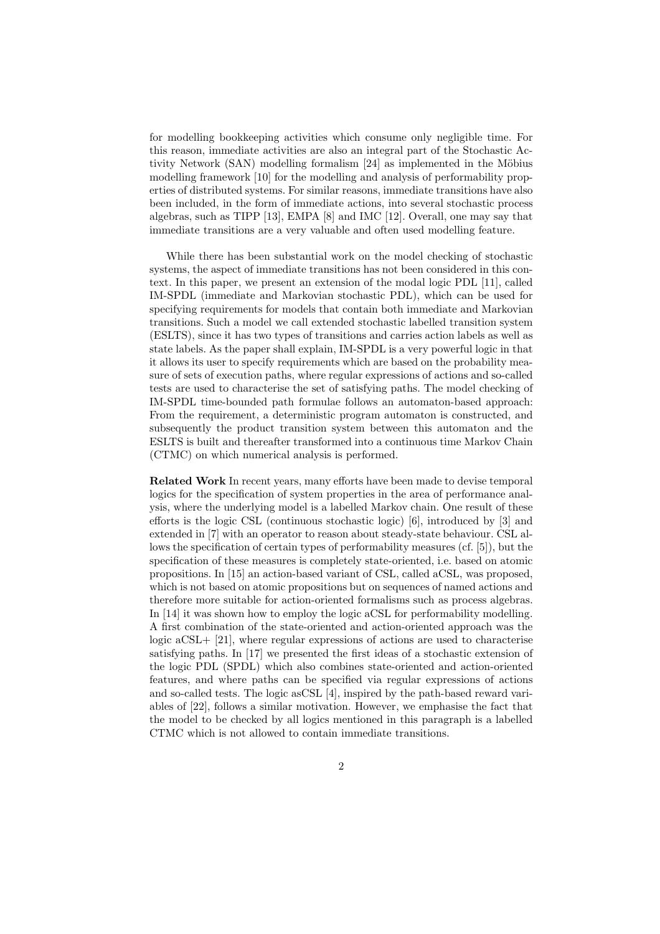for modelling bookkeeping activities which consume only negligible time. For this reason, immediate activities are also an integral part of the Stochastic Activity Network  $(SAN)$  modelling formalism  $[24]$  as implemented in the Möbius modelling framework [10] for the modelling and analysis of performability properties of distributed systems. For similar reasons, immediate transitions have also been included, in the form of immediate actions, into several stochastic process algebras, such as TIPP [13], EMPA [8] and IMC [12]. Overall, one may say that immediate transitions are a very valuable and often used modelling feature.

While there has been substantial work on the model checking of stochastic systems, the aspect of immediate transitions has not been considered in this context. In this paper, we present an extension of the modal logic PDL [11], called IM-SPDL (immediate and Markovian stochastic PDL), which can be used for specifying requirements for models that contain both immediate and Markovian transitions. Such a model we call extended stochastic labelled transition system (ESLTS), since it has two types of transitions and carries action labels as well as state labels. As the paper shall explain, IM-SPDL is a very powerful logic in that it allows its user to specify requirements which are based on the probability measure of sets of execution paths, where regular expressions of actions and so-called tests are used to characterise the set of satisfying paths. The model checking of IM-SPDL time-bounded path formulae follows an automaton-based approach: From the requirement, a deterministic program automaton is constructed, and subsequently the product transition system between this automaton and the ESLTS is built and thereafter transformed into a continuous time Markov Chain (CTMC) on which numerical analysis is performed.

Related Work In recent years, many efforts have been made to devise temporal logics for the specification of system properties in the area of performance analysis, where the underlying model is a labelled Markov chain. One result of these efforts is the logic CSL (continuous stochastic logic) [6], introduced by [3] and extended in [7] with an operator to reason about steady-state behaviour. CSL allows the specification of certain types of performability measures (cf. [5]), but the specification of these measures is completely state-oriented, i.e. based on atomic propositions. In [15] an action-based variant of CSL, called aCSL, was proposed, which is not based on atomic propositions but on sequences of named actions and therefore more suitable for action-oriented formalisms such as process algebras. In [14] it was shown how to employ the logic aCSL for performability modelling. A first combination of the state-oriented and action-oriented approach was the logic aCSL+ [21], where regular expressions of actions are used to characterise satisfying paths. In [17] we presented the first ideas of a stochastic extension of the logic PDL (SPDL) which also combines state-oriented and action-oriented features, and where paths can be specified via regular expressions of actions and so-called tests. The logic asCSL [4], inspired by the path-based reward variables of [22], follows a similar motivation. However, we emphasise the fact that the model to be checked by all logics mentioned in this paragraph is a labelled CTMC which is not allowed to contain immediate transitions.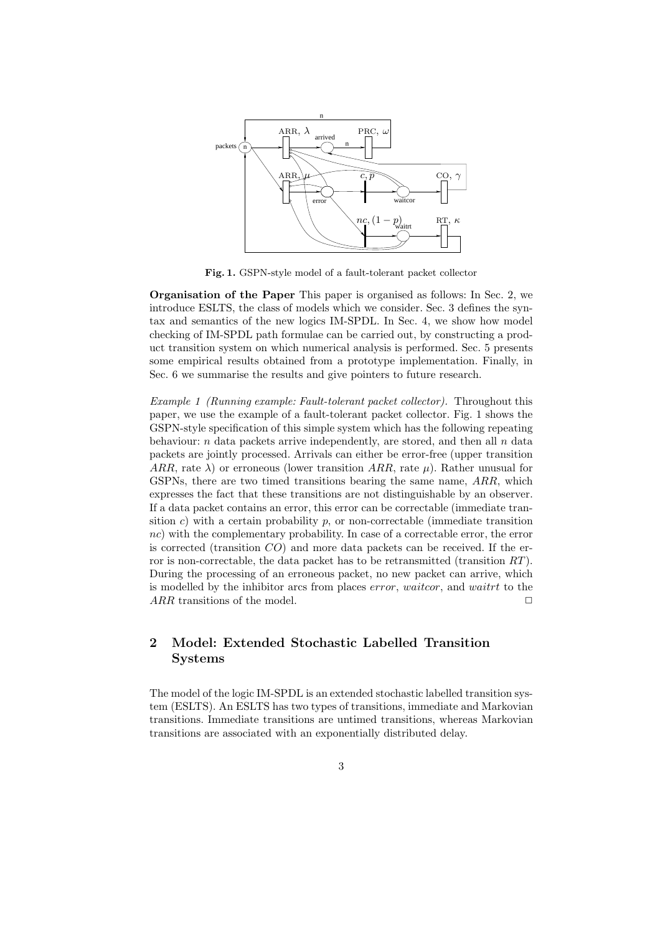

Fig. 1. GSPN-style model of a fault-tolerant packet collector

Organisation of the Paper This paper is organised as follows: In Sec. 2, we introduce ESLTS, the class of models which we consider. Sec. 3 defines the syntax and semantics of the new logics IM-SPDL. In Sec. 4, we show how model checking of IM-SPDL path formulae can be carried out, by constructing a product transition system on which numerical analysis is performed. Sec. 5 presents some empirical results obtained from a prototype implementation. Finally, in Sec. 6 we summarise the results and give pointers to future research.

Example 1 (Running example: Fault-tolerant packet collector). Throughout this paper, we use the example of a fault-tolerant packet collector. Fig. 1 shows the GSPN-style specification of this simple system which has the following repeating behaviour:  $n$  data packets arrive independently, are stored, and then all  $n$  data packets are jointly processed. Arrivals can either be error-free (upper transition ARR, rate  $\lambda$ ) or erroneous (lower transition ARR, rate  $\mu$ ). Rather unusual for GSPNs, there are two timed transitions bearing the same name, ARR, which expresses the fact that these transitions are not distinguishable by an observer. If a data packet contains an error, this error can be correctable (immediate transition c) with a certain probability  $p$ , or non-correctable (immediate transition  $nc$ ) with the complementary probability. In case of a correctable error, the error is corrected (transition  $CO$ ) and more data packets can be received. If the error is non-correctable, the data packet has to be retransmitted (transition  $RT$ ). During the processing of an erroneous packet, no new packet can arrive, which is modelled by the inhibitor arcs from places error, waitcor, and waitrt to the  $ARR$  transitions of the model.  $\square$ 

## 2 Model: Extended Stochastic Labelled Transition Systems

The model of the logic IM-SPDL is an extended stochastic labelled transition system (ESLTS). An ESLTS has two types of transitions, immediate and Markovian transitions. Immediate transitions are untimed transitions, whereas Markovian transitions are associated with an exponentially distributed delay.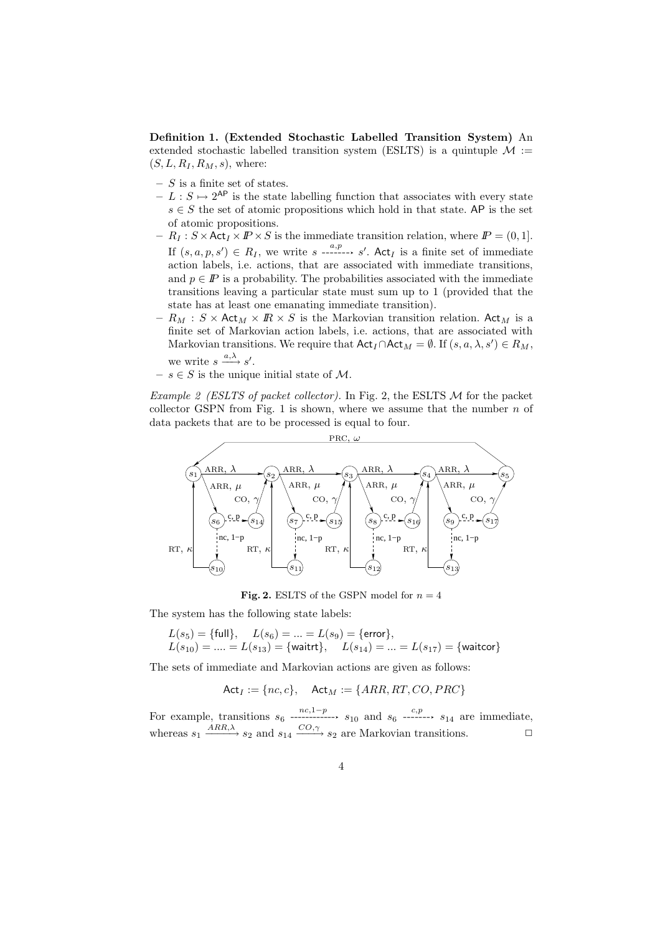Definition 1. (Extended Stochastic Labelled Transition System) An extended stochastic labelled transition system (ESLTS) is a quintuple  $\mathcal{M}$  :=  $(S, L, R_I, R_M, s)$ , where:

- $S$  is a finite set of states.
- $-L : S \mapsto 2^{\mathsf{AP}}$  is the state labelling function that associates with every state  $s \in S$  the set of atomic propositions which hold in that state. AP is the set of atomic propositions.
- $-R_I: S \times \text{Act}_I \times \mathbb{P} \times S$  is the immediate transition relation, where  $\mathbb{P} = (0, 1]$ . If  $(s, a, p, s') \in R_I$ , we write s  $\xrightarrow{a, p} s'$ . Act<sub>I</sub> is a finite set of immediate action labels, i.e. actions, that are associated with immediate transitions, and  $p \in \mathbb{P}$  is a probability. The probabilities associated with the immediate

PSfrag replacements transitions leaving a particular state must sum up to 1 (provided that the state has at least one emanating immediate transition).

- $R_M$ :  $S \times \text{Act}_M \times \text{IR} \times S$  is the Markovian transition relation. Act<sub>M</sub> is a finite set of Markovian action labels, i.e. actions, that are associated with Markovian transitions. We require that  $\mathsf{Act}_I \cap \mathsf{Act}_M = \emptyset$ . If  $(s, a, \lambda, s') \in R_M$ , we write  $s \xrightarrow{a,\lambda} s'$ .
- $s \in S$  is the unique initial state of M.

Example 2 (ESLTS of packet collector). In Fig. 2, the ESLTS  $M$  for the packet collector GSPN from Fig. 1 is shown, where we assume that the number  $n$  of data packets that are to be processed is equal to four.



Fig. 2. ESLTS of the GSPN model for  $n = 4$ 

The system has the following state labels:

$$
\begin{array}{l} L(s_5) = \{{\mathsf{full}}\}, \quad L(s_6) = \ldots = L(s_9) = \{{\mathsf{error}}\}, \\ L(s_{10}) = \ldots = L(s_{13}) = \{{\mathsf{waitrt}}\}, \quad L(s_{14}) = \ldots = L(s_{17}) = \{{\mathsf{waitcor}}\} \end{array}
$$

The sets of immediate and Markovian actions are given as follows:

 $Act_I := \{nc, c\}, \quad Act_M := \{ARR, RT, CO, PRC\}$ 

For example, transitions  $s_6 \xrightarrow{nc,1-p} s_{10}$  and  $s_6 \xrightarrow{c,p} s_{14}$  are immediate, whereas  $s_1 \xrightarrow{ARR, \lambda} s_2$  and  $s_{14} \xrightarrow{CO, \gamma} s_2$  are Markovian transitions.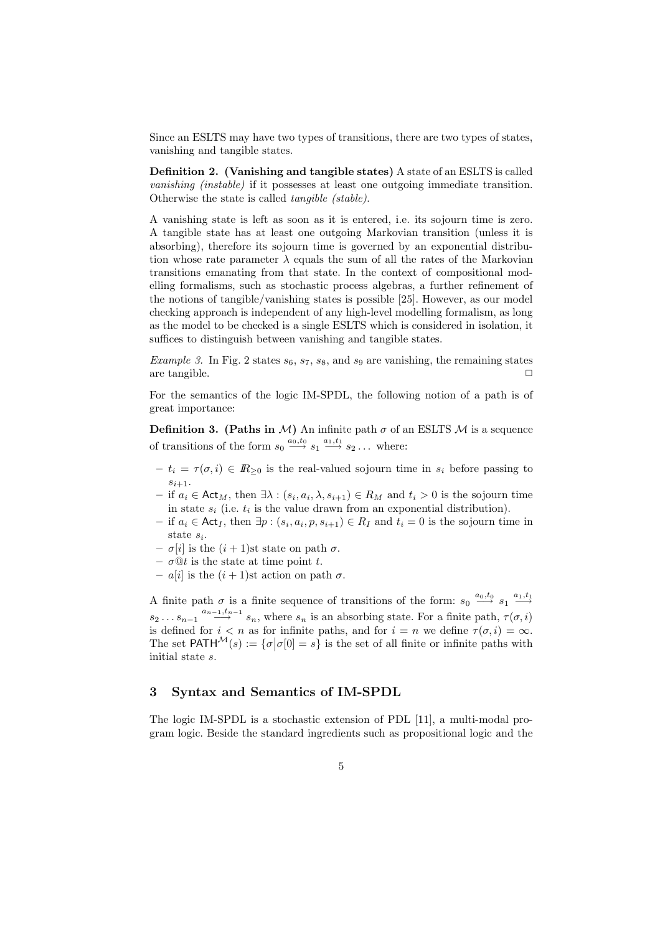Since an ESLTS may have two types of transitions, there are two types of states, vanishing and tangible states.

Definition 2. (Vanishing and tangible states) A state of an ESLTS is called vanishing (instable) if it possesses at least one outgoing immediate transition. Otherwise the state is called tangible (stable).

A vanishing state is left as soon as it is entered, i.e. its sojourn time is zero. A tangible state has at least one outgoing Markovian transition (unless it is absorbing), therefore its sojourn time is governed by an exponential distribution whose rate parameter  $\lambda$  equals the sum of all the rates of the Markovian transitions emanating from that state. In the context of compositional modelling formalisms, such as stochastic process algebras, a further refinement of the notions of tangible/vanishing states is possible [25]. However, as our model checking approach is independent of any high-level modelling formalism, as long as the model to be checked is a single ESLTS which is considered in isolation, it suffices to distinguish between vanishing and tangible states.

Example 3. In Fig. 2 states  $s_6$ ,  $s_7$ ,  $s_8$ , and  $s_9$  are vanishing, the remaining states are tangible.  $\Box$ 

For the semantics of the logic IM-SPDL, the following notion of a path is of great importance:

**Definition 3.** (Paths in  $M$ ) An infinite path  $\sigma$  of an ESLTS  $M$  is a sequence of transitions of the form  $s_0 \stackrel{a_0,t_0}{\longrightarrow} s_1 \stackrel{a_1,t_1}{\longrightarrow} s_2 \dots$  where:

- $-t_i = \tau(\sigma, i) \in I\!\!R_{\geq 0}$  is the real-valued sojourn time in  $s_i$  before passing to  $S_{i+1}$ .
- $-$  if  $a_i$  ∈ Act<sub>M</sub>, then  $\exists \lambda : (s_i, a_i, \lambda, s_{i+1}) \in R_M$  and  $t_i > 0$  is the sojourn time in state  $s_i$  (i.e.  $t_i$  is the value drawn from an exponential distribution).
- $-$  if  $a_i$  ∈ Act<sub>I</sub>, then  $\exists p$  :  $(s_i, a_i, p, s_{i+1})$  ∈  $R_I$  and  $t_i = 0$  is the sojourn time in state  $s_i$ .
- $\sigma[i]$  is the  $(i + 1)$ st state on path  $\sigma$ .
- $-\sigma\Theta t$  is the state at time point t.
- $a[i]$  is the  $(i + 1)$ st action on path  $\sigma$ .

A finite path  $\sigma$  is a finite sequence of transitions of the form:  $s_0 \stackrel{a_0,t_0}{\longrightarrow} s_1 \stackrel{a_1,t_1}{\longrightarrow}$  $s_2 \ldots s_{n-1} \stackrel{a_{n-1},t_{n-1}}{\longrightarrow} s_n$ , where  $s_n$  is an absorbing state. For a finite path,  $\tau(\sigma,i)$ is defined for  $i < n$  as for infinite paths, and for  $i = n$  we define  $\tau(\sigma, i) = \infty$ . The set  $\mathsf{PATH}^{\mathcal{M}}(s) := \{ \sigma | \sigma[0] = s \}$  is the set of all finite or infinite paths with initial state s.

## 3 Syntax and Semantics of IM-SPDL

The logic IM-SPDL is a stochastic extension of PDL [11], a multi-modal program logic. Beside the standard ingredients such as propositional logic and the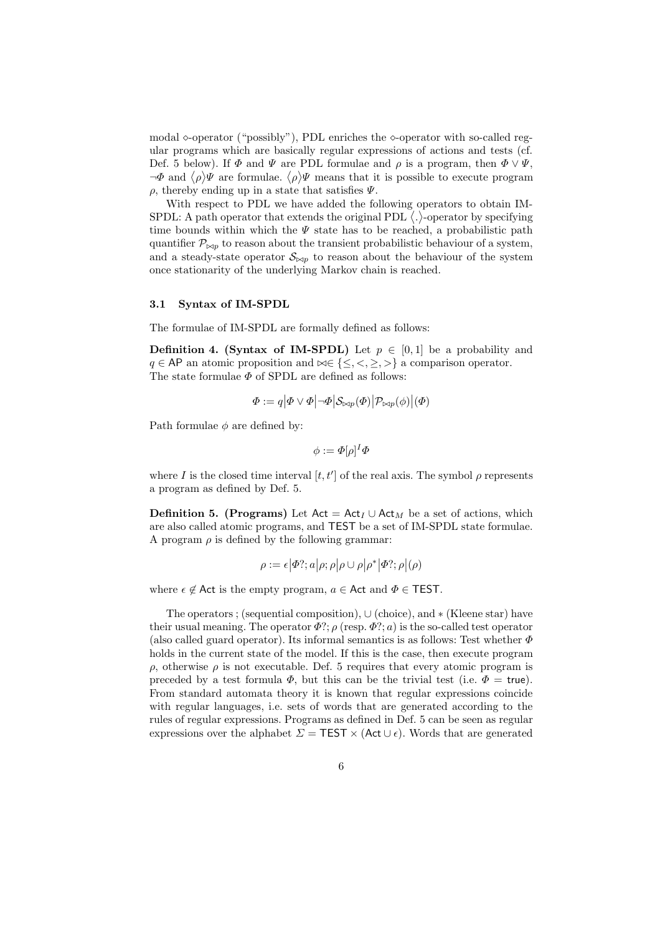modal  $\Diamond$ -operator ("possibly"), PDL enriches the  $\Diamond$ -operator with so-called regular programs which are basically regular expressions of actions and tests (cf. Def. 5 below). If  $\Phi$  and  $\Psi$  are PDL formulae and  $\rho$  is a program, then  $\Phi \vee \Psi$ ,  $\neg \Phi$  and  $\langle \rho \rangle \Psi$  are formulae.  $\langle \rho \rangle \Psi$  means that it is possible to execute program ρ, thereby ending up in a state that satisfies Ψ.

With respect to PDL we have added the following operators to obtain IM-SPDL: A path operator that extends the original PDL  $\langle . \rangle$ -operator by specifying time bounds within which the  $\Psi$  state has to be reached, a probabilistic path quantifier  $P_{\bowtie p}$  to reason about the transient probabilistic behaviour of a system, and a steady-state operator  $S_{\bowtie p}$  to reason about the behaviour of the system once stationarity of the underlying Markov chain is reached.

#### 3.1 Syntax of IM-SPDL

The formulae of IM-SPDL are formally defined as follows:

**Definition 4. (Syntax of IM-SPDL)** Let  $p \in [0,1]$  be a probability and  $q \in \mathsf{AP}$  an atomic proposition and  $\bowtie \{ \leq, \leq, \geq, \geq \}$  a comparison operator. The state formulae  $\Phi$  of SPDL are defined as follows:

$$
\Phi := q | \Phi \vee \Phi | \neg \Phi | \mathcal{S}_{\bowtie p}(\Phi) | \mathcal{P}_{\bowtie p}(\phi) | (\Phi)
$$

Path formulae  $\phi$  are defined by:

$$
\phi:=\varPhi[\rho]^I\varPhi
$$

where I is the closed time interval  $[t, t']$  of the real axis. The symbol  $\rho$  represents a program as defined by Def. 5.

**Definition 5. (Programs)** Let  $Act = Act_I \cup Act_M$  be a set of actions, which are also called atomic programs, and TEST be a set of IM-SPDL state formulae. A program  $\rho$  is defined by the following grammar:

$$
\rho := \epsilon | \varPhi?; a | \rho; \rho | \rho \cup \rho | \rho^* | \varPhi?; \rho | (\rho)
$$

where  $\epsilon \notin$  Act is the empty program,  $a \in$  Act and  $\Phi \in$  TEST.

The operators ; (sequential composition), ∪ (choice), and ∗ (Kleene star) have their usual meaning. The operator  $\Phi$ ?;  $\rho$  (resp.  $\Phi$ ?; a) is the so-called test operator (also called guard operator). Its informal semantics is as follows: Test whether  $\Phi$ holds in the current state of the model. If this is the case, then execute program ρ, otherwise ρ is not executable. Def. 5 requires that every atomic program is preceded by a test formula  $\Phi$ , but this can be the trivial test (i.e.  $\Phi = \text{true}$ ). From standard automata theory it is known that regular expressions coincide with regular languages, i.e. sets of words that are generated according to the rules of regular expressions. Programs as defined in Def. 5 can be seen as regular expressions over the alphabet  $\Sigma = \text{TEST} \times (\text{Act} \cup \epsilon)$ . Words that are generated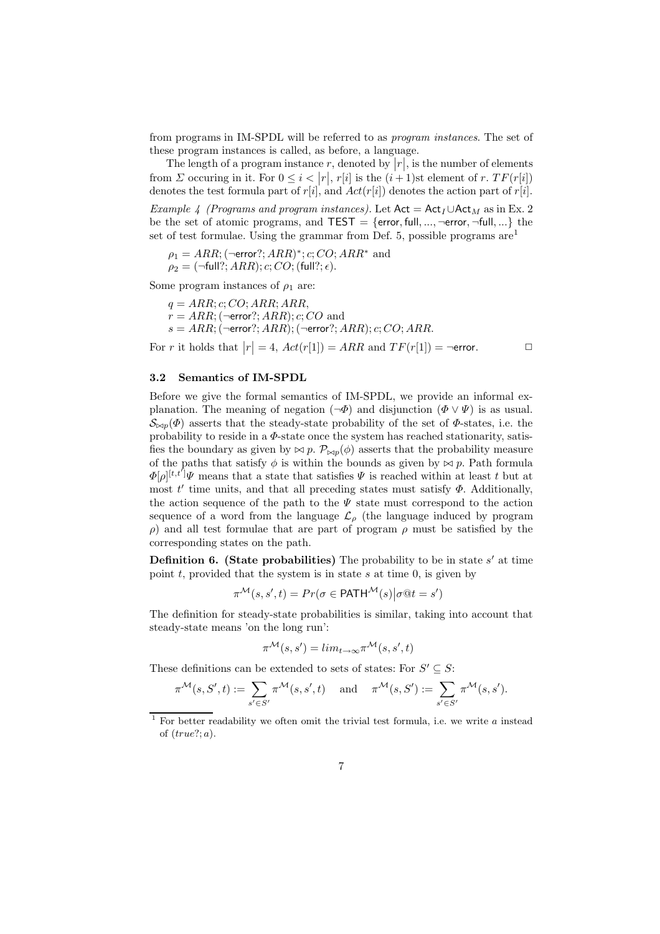from programs in IM-SPDL will be referred to as program instances. The set of these program instances is called, as before, a language.

The length of a program instance r, denoted by  $|r|$ , is the number of elements from  $\Sigma$  occuring in it. For  $0 \leq i < |r|$ ,  $r[i]$  is the  $(i+1)$ st element of r.  $TF(r[i])$  $d$  denotes the test formula part of  $r[i]$ , and  $Act(r[i])$  denotes the action part of  $r[i]$ .

Example 4 (Programs and program instances). Let  $Act = Act_I \cup Act_M$  as in Ex. 2 be the set of atomic programs, and  $TEST = {error, full, ..., \neg error, \neg full, ...\}$  the set of test formulae. Using the grammar from Def. 5, possible programs  $are<sup>1</sup>$ 

 $\rho_1 = ARR; (\neg \textsf{error}?; ARR)^\ast; c; CO; ARR^\ast \text{ and }$  $\rho_2 = (\neg \text{full}?; ARR); c; CO; (\text{full}?; \epsilon).$ 

Some program instances of  $\rho_1$  are:

 $q = ARR; c; CO; ARR; ARR,$  $r = ARR$ ; ( $\neg$ error?;  $ARR$ ); c; CO and  $s = ARR$ ; (¬error?;  $ARR$ ); (¬error?;  $ARR$ ); c; CO; ARR.

For r it holds that  $|r| = 4$ ,  $Act(r[1]) = ARR$  and  $TF(r[1]) = \neg$ error.  $\Box$ 

#### 3.2 Semantics of IM-SPDL

Before we give the formal semantics of IM-SPDL, we provide an informal explanation. The meaning of negation  $(\neg \Phi)$  and disjunction  $(\Phi \vee \Psi)$  is as usual.  $\mathcal{S}_{\bowtie p}(\phi)$  asserts that the steady-state probability of the set of  $\Phi$ -states, i.e. the probability to reside in a  $\Phi$ -state once the system has reached stationarity, satisfies the boundary as given by  $\bowtie$  p.  $\mathcal{P}_{\bowtie p}(\phi)$  asserts that the probability measure of the paths that satisfy  $\phi$  is within the bounds as given by  $\bowtie p$ . Path formula  $\Phi[\rho]^{[t,t']}$  means that a state that satisfies  $\Psi$  is reached within at least t but at most  $t'$  time units, and that all preceding states must satisfy  $\Phi$ . Additionally, the action sequence of the path to the  $\Psi$  state must correspond to the action sequence of a word from the language  $\mathcal{L}_{\rho}$  (the language induced by program  $ρ$ ) and all test formulae that are part of program  $ρ$  must be satisfied by the corresponding states on the path.

**Definition 6.** (State probabilities) The probability to be in state  $s'$  at time point  $t$ , provided that the system is in state  $s$  at time  $0$ , is given by

$$
\pi^{\mathcal{M}}(s, s', t) = Pr(\sigma \in \mathsf{PATH}^{\mathcal{M}}(s) | \sigma @ t = s')
$$

The definition for steady-state probabilities is similar, taking into account that steady-state means 'on the long run':

$$
\pi^{\mathcal{M}}(s, s') = \lim_{t \to \infty} \pi^{\mathcal{M}}(s, s', t)
$$

These definitions can be extended to sets of states: For  $S' \subseteq S$ :

$$
\pi^{\mathcal M}(s,S',t):=\sum_{s'\in S'}\pi^{\mathcal M}(s,s',t)\quad \text{ and }\quad \pi^{\mathcal M}(s,S'):=\sum_{s'\in S'}\pi^{\mathcal M}(s,s').
$$

 $1$  For better readability we often omit the trivial test formula, i.e. we write a instead of  $(true?; a)$ .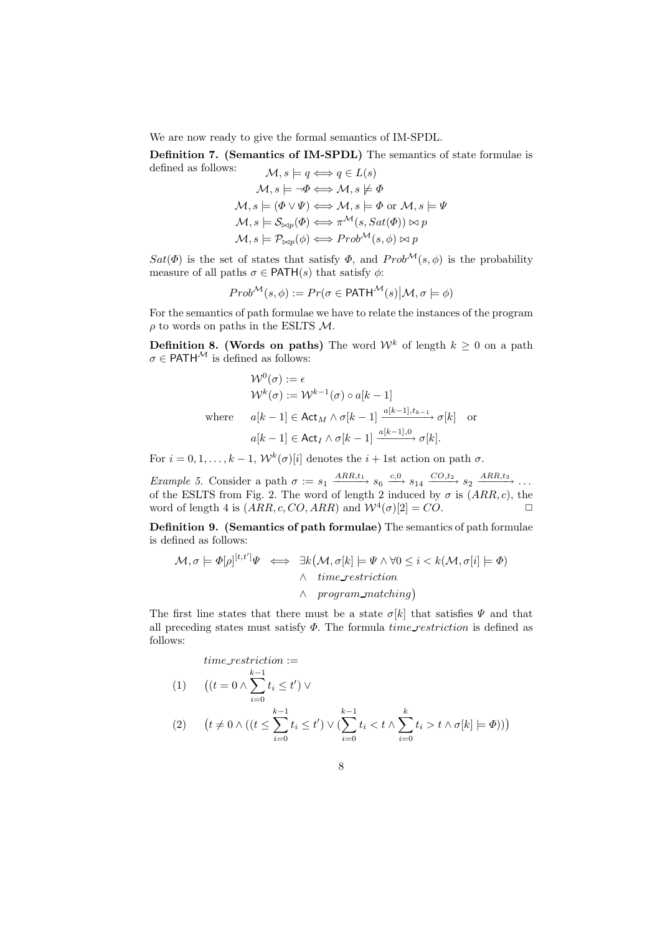We are now ready to give the formal semantics of IM-SPDL.

Definition 7. (Semantics of IM-SPDL) The semantics of state formulae is defined as follows:  $M, s \models a \Longleftrightarrow a \in L(s)$ 

$$
\mathcal{M}, s \models q \iff q \in L(s)
$$
  

$$
\mathcal{M}, s \models \neg \Phi \iff \mathcal{M}, s \not\models \Phi
$$
  

$$
\mathcal{M}, s \models (\Phi \lor \Psi) \iff \mathcal{M}, s \models \Phi \text{ or } \mathcal{M}, s \models \Psi
$$
  

$$
\mathcal{M}, s \models \mathcal{S}_{\bowtie p}(\Phi) \iff \pi^{\mathcal{M}}(s, Sat(\Phi)) \bowtie p
$$
  

$$
\mathcal{M}, s \models \mathcal{P}_{\bowtie p}(\phi) \iff Prob^{\mathcal{M}}(s, \phi) \bowtie p
$$

 $Sat(\Phi)$  is the set of states that satisfy  $\Phi$ , and  $Prob^{\mathcal{M}}(s, \phi)$  is the probability measure of all paths  $\sigma \in \text{PATH}(s)$  that satisfy  $\phi$ :

$$
Prob^{\mathcal{M}}(s,\phi) := Pr(\sigma \in \mathsf{PATH}^{\mathcal{M}}(s) | \mathcal{M}, \sigma \models \phi)
$$

For the semantics of path formulae we have to relate the instances of the program  $\rho$  to words on paths in the ESLTS  $\mathcal{M}$ .

**Definition 8. (Words on paths)** The word  $W^k$  of length  $k \geq 0$  on a path  $\sigma \in \mathsf{PATH}^{\mathcal{M}}$  is defined as follows:

$$
\mathcal{W}^0(\sigma) := \epsilon
$$
  
\n
$$
\mathcal{W}^k(\sigma) := \mathcal{W}^{k-1}(\sigma) \circ a[k-1]
$$
  
\nwhere  $a[k-1] \in \text{Act}_M \wedge \sigma[k-1] \xrightarrow{a[k-1], t_{k-1}} \sigma[k]$  or  
\n $a[k-1] \in \text{Act}_I \wedge \sigma[k-1] \xrightarrow{a[k-1], 0} \sigma[k].$ 

For  $i = 0, 1, \ldots, k - 1$ ,  $\mathcal{W}^k(\sigma)[i]$  denotes the  $i + 1$ st action on path  $\sigma$ .

Example 5. Consider a path  $\sigma := s_1 \xrightarrow{ARR, t_1} s_6 \xrightarrow{c, 0} s_{14} \xrightarrow{CO, t_2} s_2 \xrightarrow{ARR, t_3} \dots$ of the ESLTS from Fig. 2. The word of length 2 induced by  $\sigma$  is  $(ARR, c)$ , the word of length 4 is  $(ARR, c, CO,ARR)$  and  $W^4(\sigma)[2] = CO$ .

Definition 9. (Semantics of path formulae) The semantics of path formulae is defined as follows:

$$
\mathcal{M}, \sigma \models \Phi[\rho]^{[t, t']} \Psi \iff \exists k (\mathcal{M}, \sigma[k] \models \Psi \land \forall 0 \le i < k(\mathcal{M}, \sigma[i] \models \Phi) \land \text{ time\_restriction} \land \text{ } \land \text{ program\_matching})
$$

The first line states that there must be a state  $\sigma[k]$  that satisfies  $\Psi$  and that all preceding states must satisfy  $\Phi$ . The formula *time restriction* is defined as follows:

$$
\begin{aligned}\n\text{time\_restriction} &:=\\
(1) \quad & \left( (t = 0 \land \sum_{i=0}^{k-1} t_i \le t') \lor \right. \\
(2) \quad & \left( t \ne 0 \land \left( (t \le \sum_{i=0}^{k-1} t_i \le t') \lor \left( \sum_{i=0}^{k-1} t_i < t \land \sum_{i=0}^k t_i > t \land \sigma[k] \models \varPhi \right) \right) \right)\n\end{aligned}
$$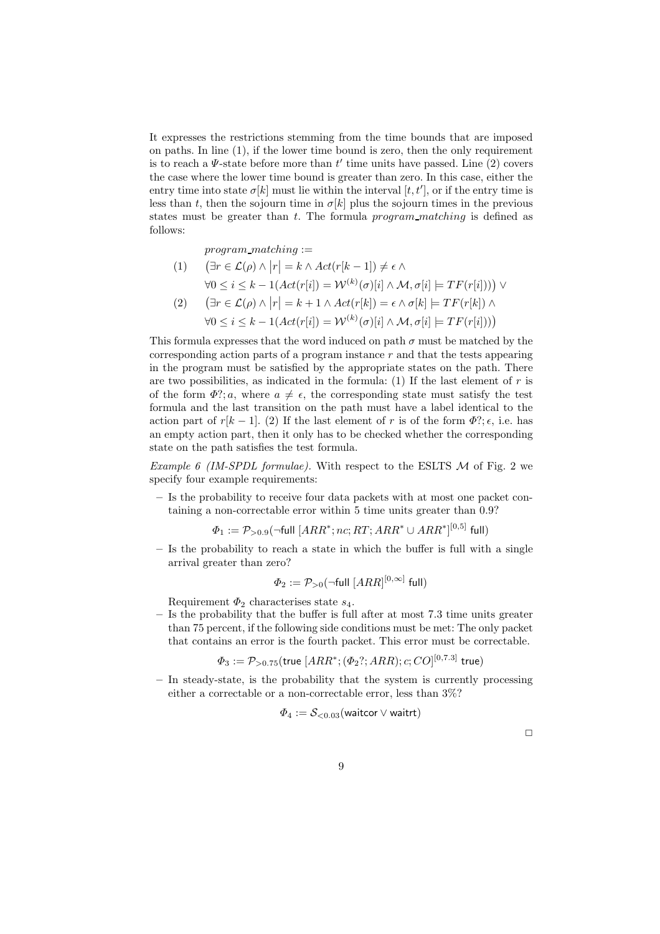It expresses the restrictions stemming from the time bounds that are imposed on paths. In line  $(1)$ , if the lower time bound is zero, then the only requirement is to reach a  $\Psi$ -state before more than  $t'$  time units have passed. Line (2) covers the case where the lower time bound is greater than zero. In this case, either the entry time into state  $\sigma[k]$  must lie within the interval  $[t, t']$ , or if the entry time is less than t, then the sojourn time in  $\sigma[k]$  plus the sojourn times in the previous states must be greater than  $t$ . The formula *program matching* is defined as follows:

 $program\_matching :=$ 

(1) 
$$
(\exists r \in \mathcal{L}(\rho) \land |r| = k \land Act(r[k-1]) \neq \epsilon \land
$$

$$
\forall 0 \leq i \leq k - 1(Act(r[i]) = \mathcal{W}^{(k)}(\sigma)[i] \land \mathcal{M}, \sigma[i] \models TF(r[i])) \lor
$$

$$
(2) \quad (\exists r \in \mathcal{L}(\rho) \land |r| = k + 1 \land Act(r[k]) = \epsilon \land \sigma[k] \models TF(r[k]) \land
$$

$$
\forall 0 \leq i \leq k - 1(Act(r[i]) = \mathcal{W}^{(k)}(\sigma)[i] \land \mathcal{M}, \sigma[i] \models TF(r[i]))
$$

This formula expresses that the word induced on path  $\sigma$  must be matched by the corresponding action parts of a program instance r and that the tests appearing in the program must be satisfied by the appropriate states on the path. There are two possibilities, as indicated in the formula:  $(1)$  If the last element of r is of the form  $\Phi$ ?; a, where  $a \neq \epsilon$ , the corresponding state must satisfy the test formula and the last transition on the path must have a label identical to the action part of r[k - 1]. (2) If the last element of r is of the form  $\Phi$ ?;  $\epsilon$ , i.e. has an empty action part, then it only has to be checked whether the corresponding state on the path satisfies the test formula.

*Example 6 (IM-SPDL formulae)*. With respect to the ESLTS  $M$  of Fig. 2 we specify four example requirements:

– Is the probability to receive four data packets with at most one packet containing a non-correctable error within 5 time units greater than 0.9?

 $\varPhi_1:=\mathcal{P}_{>0.9}(\neg\textsf{full}[ARR^*;nc;RT;ARR^*\cupARR^*]^{[0,5]}$  full)

– Is the probability to reach a state in which the buffer is full with a single arrival greater than zero?

$$
\Phi_2:=\mathcal{P}_{>0}(\neg\text{full }[ARR]^{[0,\infty]}\text{ full})
$$

Requirement  $\Phi_2$  characterises state  $s_4$ .

– Is the probability that the buffer is full after at most 7.3 time units greater than 75 percent, if the following side conditions must be met: The only packet that contains an error is the fourth packet. This error must be correctable.

$$
\varPhi_3:=\mathcal{P}_{>0.75}(\mathsf{true}\ [ARR^*;(\varPhi_2?;ARR);c;CO]^{[0,7.3]}\ \mathsf{true})
$$

– In steady-state, is the probability that the system is currently processing either a correctable or a non-correctable error, less than 3%?

$$
\varPhi_4:=\mathcal{S}_{<0.03}(\text{waitcor}\vee\text{waitrt})
$$

 $\Box$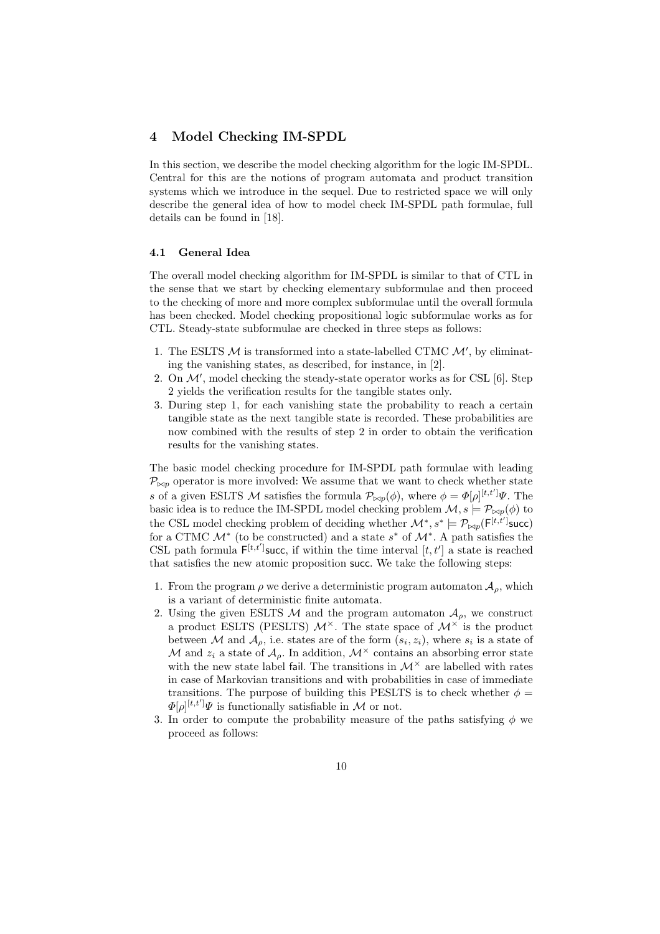## 4 Model Checking IM-SPDL

In this section, we describe the model checking algorithm for the logic IM-SPDL. Central for this are the notions of program automata and product transition systems which we introduce in the sequel. Due to restricted space we will only describe the general idea of how to model check IM-SPDL path formulae, full details can be found in [18].

#### 4.1 General Idea

The overall model checking algorithm for IM-SPDL is similar to that of CTL in the sense that we start by checking elementary subformulae and then proceed to the checking of more and more complex subformulae until the overall formula has been checked. Model checking propositional logic subformulae works as for CTL. Steady-state subformulae are checked in three steps as follows:

- 1. The ESLTS  $M$  is transformed into a state-labelled CTMC  $M'$ , by eliminating the vanishing states, as described, for instance, in [2].
- 2. On  $\mathcal{M}'$ , model checking the steady-state operator works as for CSL [6]. Step 2 yields the verification results for the tangible states only.
- 3. During step 1, for each vanishing state the probability to reach a certain tangible state as the next tangible state is recorded. These probabilities are now combined with the results of step 2 in order to obtain the verification results for the vanishing states.

The basic model checking procedure for IM-SPDL path formulae with leading  $P_{\bowtie p}$  operator is more involved: We assume that we want to check whether state s of a given ESLTS M satisfies the formula  $\mathcal{P}_{\bowtie p}(\phi)$ , where  $\phi = \Phi[\rho]^{[t,t']} \Psi$ . The basic idea is to reduce the IM-SPDL model checking problem  $\mathcal{M}, s \models \mathcal{P}_{\bowtie p}(\phi)$  to the CSL model checking problem of deciding whether  $\mathcal{M}^*, s^* \models \mathcal{P}_{\bowtie p}(\mathsf{F}^{[t,t']}$ succ) for a CTMC  $\mathcal{M}^*$  (to be constructed) and a state  $s^*$  of  $\mathcal{M}^*$ . A path satisfies the CSL path formula  $F^{[t,t']}$ succ, if within the time interval  $[t, t']$  a state is reached that satisfies the new atomic proposition succ. We take the following steps:

- 1. From the program  $\rho$  we derive a deterministic program automaton  $\mathcal{A}_{\rho}$ , which is a variant of deterministic finite automata.
- 2. Using the given ESLTS M and the program automaton  $A_{\rho}$ , we construct a product ESLTS (PESLTS)  $\mathcal{M}^{\times}$ . The state space of  $\mathcal{M}^{\times}$  is the product between M and  $A_{\rho}$ , i.e. states are of the form  $(s_i, z_i)$ , where  $s_i$  is a state of M and  $z_i$  a state of  $\mathcal{A}_{\rho}$ . In addition,  $\mathcal{M}^{\times}$  contains an absorbing error state with the new state label fail. The transitions in  $\mathcal{M}^{\times}$  are labelled with rates in case of Markovian transitions and with probabilities in case of immediate transitions. The purpose of building this PESLTS is to check whether  $\phi =$  $\Phi[\rho]^{[t,t']} \Psi$  is functionally satisfiable in M or not.
- 3. In order to compute the probability measure of the paths satisfying  $\phi$  we proceed as follows: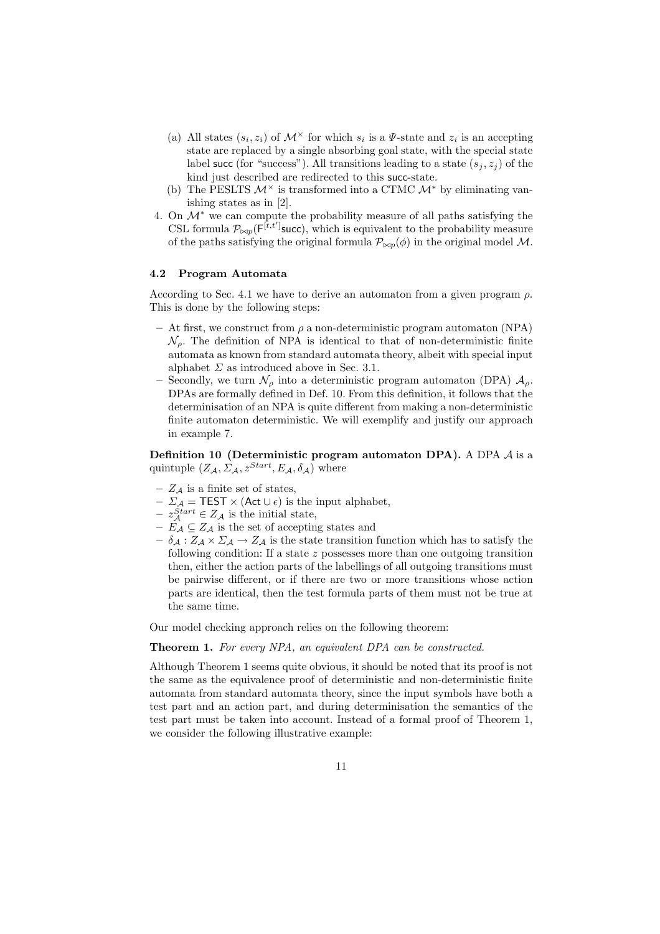- (a) All states  $(s_i, z_i)$  of  $\mathcal{M}^{\times}$  for which  $s_i$  is a  $\Psi$ -state and  $z_i$  is an accepting state are replaced by a single absorbing goal state, with the special state label succ (for "success"). All transitions leading to a state  $(s_i, z_j)$  of the kind just described are redirected to this succ-state.
- (b) The PESLTS  $\mathcal{M}^{\times}$  is transformed into a CTMC  $\mathcal{M}^*$  by eliminating vanishing states as in [2].
- 4. On M<sup>∗</sup> we can compute the probability measure of all paths satisfying the CSL formula  $\mathcal{P}_{\bowtie p}(\mathsf{F}^{[t,t']}$ succ), which is equivalent to the probability measure of the paths satisfying the original formula  $\mathcal{P}_{\bowtie p}(\phi)$  in the original model M.

#### 4.2 Program Automata

According to Sec. 4.1 we have to derive an automaton from a given program  $\rho$ . This is done by the following steps:

- At first, we construct from  $\rho$  a non-deterministic program automaton (NPA)  $\mathcal{N}_o$ . The definition of NPA is identical to that of non-deterministic finite automata as known from standard automata theory, albeit with special input alphabet  $\Sigma$  as introduced above in Sec. 3.1.
- Secondly, we turn  $\mathcal{N}_{\rho}$  into a deterministic program automaton (DPA)  $\mathcal{A}_{\rho}$ . DPAs are formally defined in Def. 10. From this definition, it follows that the determinisation of an NPA is quite different from making a non-deterministic finite automaton deterministic. We will exemplify and justify our approach in example 7.

Definition 10 (Deterministic program automaton DPA). A DPA A is a quintuple  $(Z_{\mathcal{A}}, \Sigma_{\mathcal{A}}, z^{Start}, E_{\mathcal{A}}, \delta_{\mathcal{A}})$  where

- $Z_{\mathcal{A}}$  is a finite set of states,
- $\Sigma_{\mathcal{A}}$  = TEST  $\times$  (Act  $\cup$   $\epsilon$ ) is the input alphabet,
- $z_{\mathcal{A}}^{Start} \in Z_{\mathcal{A}}$  is the initial state,
- $E_{\mathcal{A}} \subseteq Z_{\mathcal{A}}$  is the set of accepting states and
- $\delta_{\cal A} : Z_{\cal A} \times \varSigma_{\cal A} \to Z_{\cal A}$  is the state transition function which has to satisfy the following condition: If a state  $z$  possesses more than one outgoing transition then, either the action parts of the labellings of all outgoing transitions must be pairwise different, or if there are two or more transitions whose action parts are identical, then the test formula parts of them must not be true at the same time.

Our model checking approach relies on the following theorem:

#### Theorem 1. For every NPA, an equivalent DPA can be constructed.

Although Theorem 1 seems quite obvious, it should be noted that its proof is not the same as the equivalence proof of deterministic and non-deterministic finite automata from standard automata theory, since the input symbols have both a test part and an action part, and during determinisation the semantics of the test part must be taken into account. Instead of a formal proof of Theorem 1, we consider the following illustrative example: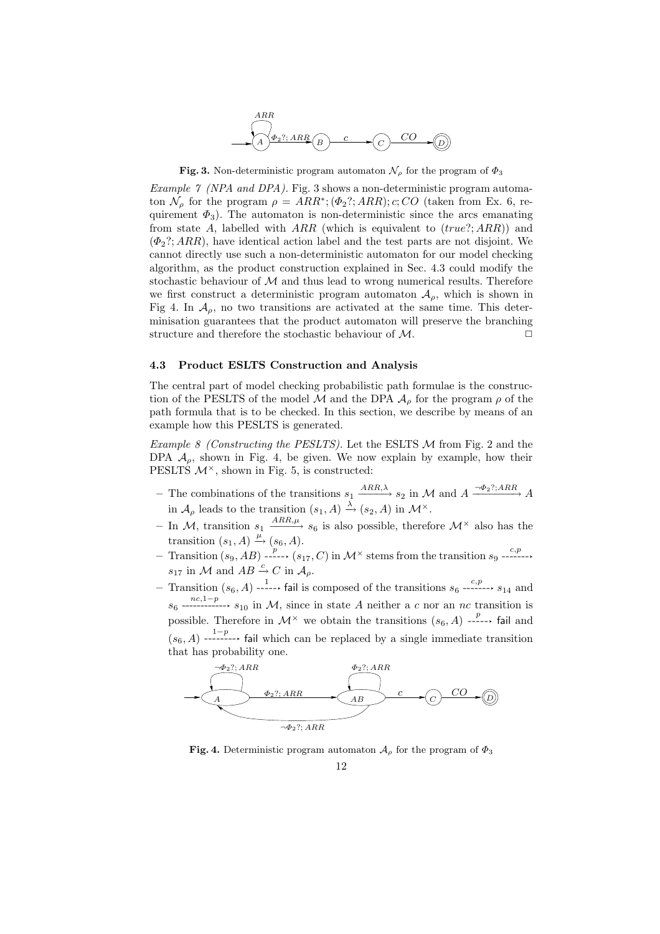

Fig. 3. Non-deterministic program automaton  $\mathcal{N}_{\rho}$  for the program of  $\Phi_3$ 

Example 7 (NPA and DPA). Fig. 3 shows a non-deterministic program automaton  $\mathcal{N}_{\rho}$  for the program  $\rho = ARR^*; (\Phi_2?; ARR); c; CO$  (taken from Ex. 6, requirement  $\Phi_3$ ). The automaton is non-deterministic since the arcs emanating from state A, labelled with  $ARR$  (which is equivalent to  $(true?;ARR)$ ) and  $(\Phi_2$ ?; ARR), have identical action label and the test parts are not disjoint. We cannot directly use such a non-deterministic automaton for our model checking algorithm, as the product construction explained in Sec. 4.3 could modify the stochastic behaviour of  $M$  and thus lead to wrong numerical results. Therefore we first construct a deterministic program automaton  $A_{\rho}$ , which is shown in Fig 4. In  $\mathcal{A}_{\rho}$ , no two transitions are activated at the same time. This determinisation guarantees that the product automaton will preserve the branching structure and therefore the stochastic behaviour of  $M$ .

#### 4.3 Product ESLTS Construction and Analysis

The central part of model checking probabilistic path formulae is the construction of the PESLTS of the model M and the DPA  $\mathcal{A}_{\rho}$  for the program  $\rho$  of the path formula that is to be checked. In this section, we describe by means of an example how this PESLTS is generated.

*Example 8 (Constructing the PESLTS).* Let the ESLTS  $M$  from Fig. 2 and the DPA  $A_{\rho}$ , shown in Fig. 4, be given. We now explain by example, how their PESLTS  $\mathcal{M}^{\times}$ , shown in Fig. 5, is constructed:

- − The combinations of the transitions  $s_1 \xrightarrow{ARR,\lambda} s_2$  in M and  $A \xrightarrow{\neg \Phi_2?;ARR} A$ in  $\mathcal{A}_{\rho}$  leads to the transition  $(s_1, A) \stackrel{\lambda}{\rightarrow} (s_2, A)$  in  $\mathcal{M}^{\times}$ .
- − In *M*, transition  $s_1 \xrightarrow{ARR,\mu} s_6$  is also possible, therefore  $\mathcal{M}^{\times}$  also has the transition  $(s_1, A) \xrightarrow{\mu} (s_6, A)$ .
- $-$  Transition  $(s_9, AB)$  ------  $(s_{17}, C)$  in  $\mathcal{M}^{\times}$  stems from the transition  $s_9$  ------ $s_{17}$  in M and  $AB \stackrel{c}{\rightarrow} C$  in  $\mathcal{A}_{\rho}$ .
- Transition  $(s_6, A)$  ------ fail is composed of the transitions  $s_6$  --------  $s_{14}$  and  $s_6 \xrightarrow{n_c,1-p} s_{10}$  in M, since in state A neither a c nor an nc transition is

PSfrag replacements in  $M^{\times}$  we obtain the transitions  $(s_6, A)$  -----> fail and

 $\frac{1-p}{(s_6, A)}$  --------- fail which can be replaced by a single immediate transition that has probability one.



Fig. 4. Deterministic program automaton  $\mathcal{A}_{\rho}$  for the program of  $\Phi_3$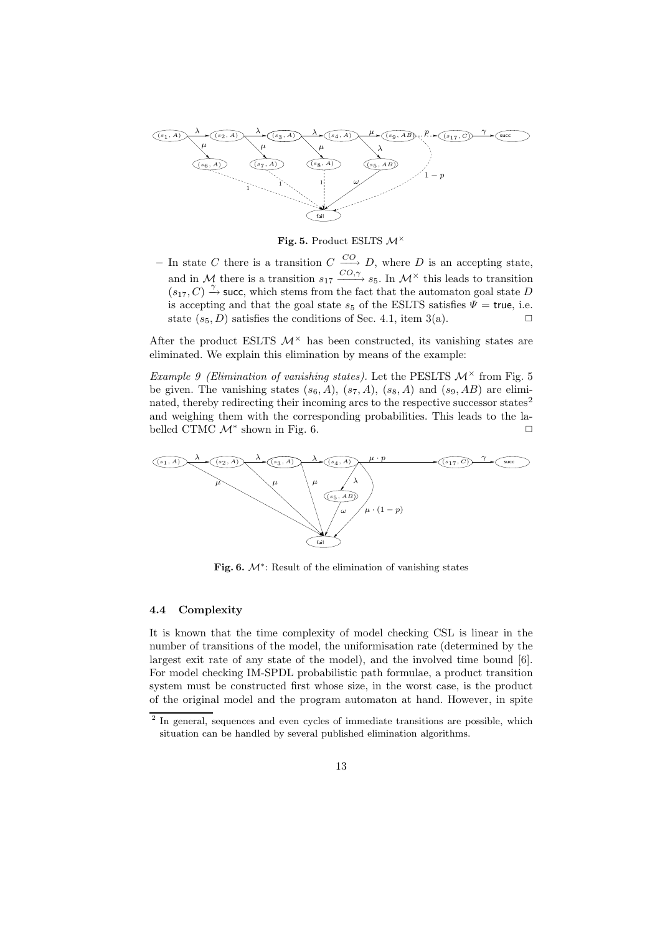

Fig. 5. Product ESLTS  $\mathcal{M}^{\times}$ 

#### PSfrag replacements

κ

κ

- In state C there is a transition  $C \stackrel{CO}{\longrightarrow} D$ , where D is an accepting state, and in M there is a transition  $s_{17} \xrightarrow{CO,\gamma} s_5$ . In  $\mathcal{M}^{\times}$  this leads to transition  $(s_{17}, C) \xrightarrow{\gamma}$  succ, which stems from the fact that the automaton goal state D is accepting and that the goal state  $s_5$  of the ESLTS satisfies  $\Psi$  = true, i.e. state  $(s_5, D)$  satisfies the conditions of Sec. 4.1, item 3(a).

After the product ESLTS  $\mathcal{M}^{\times}$  has been constructed, its vanishing states are  $e^{i\theta}$ <sup>1 – p</sup>eliminated. We explain this elimination by means of the example:

Example 9 (Elimination of vanishing states). Let the PESLTS  $\mathcal{M}^{\times}$  from Fig. 5 be given. The vanishing states  $(s_6, A)$ ,  $(s_7, A)$ ,  $(s_8, A)$  and  $(s_9, AB)$  are eliminated, thereby redirecting their incoming arcs to the respective successor states<sup>2</sup> and weighing them with the corresponding probabilities. This leads to the labelled CTMC  $\mathcal{M}^*$  shown in Fig. 6.



Fig. 6.  $\mathcal{M}^*$ : Result of the elimination of vanishing states

#### 4.4 Complexity

It is known that the time complexity of model checking CSL is linear in the number of transitions of the model, the uniformisation rate (determined by the largest exit rate of any state of the model), and the involved time bound [6]. For model checking IM-SPDL probabilistic path formulae, a product transition system must be constructed first whose size, in the worst case, is the product of the original model and the program automaton at hand. However, in spite

<sup>&</sup>lt;sup>2</sup> In general, sequences and even cycles of immediate transitions are possible, which situation can be handled by several published elimination algorithms.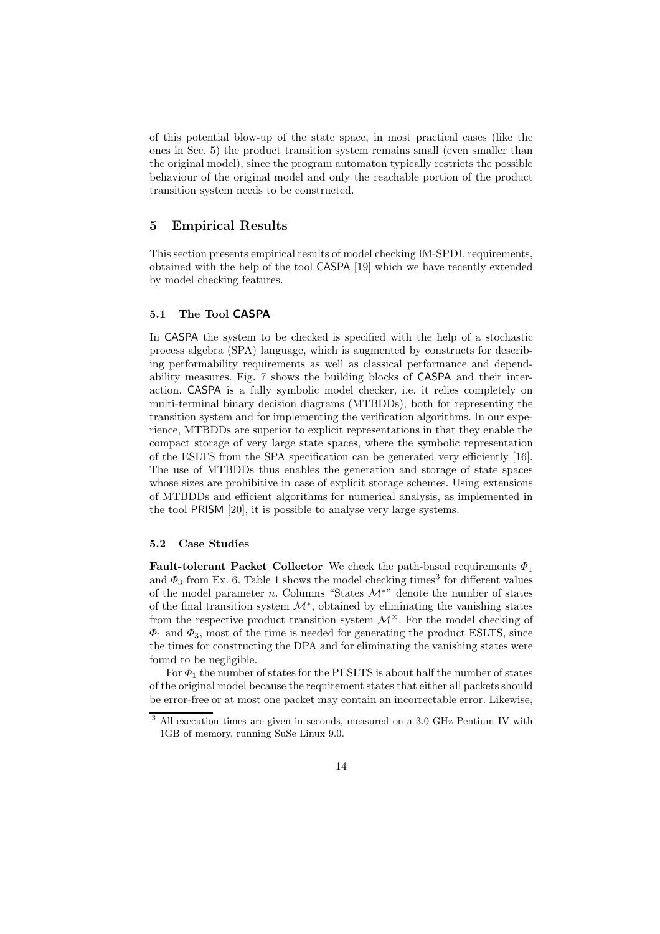of this potential blow-up of the state space, in most practical cases (like the ones in Sec. 5) the product transition system remains small (even smaller than the original model), since the program automaton typically restricts the possible behaviour of the original model and only the reachable portion of the product transition system needs to be constructed.

## 5 Empirical Results

This section presents empirical results of model checking IM-SPDL requirements, obtained with the help of the tool CASPA [19] which we have recently extended by model checking features.

#### 5.1 The Tool CASPA

In CASPA the system to be checked is specified with the help of a stochastic process algebra (SPA) language, which is augmented by constructs for describing performability requirements as well as classical performance and dependability measures. Fig. 7 shows the building blocks of CASPA and their interaction. CASPA is a fully symbolic model checker, i.e. it relies completely on multi-terminal binary decision diagrams (MTBDDs), both for representing the transition system and for implementing the verification algorithms. In our experience, MTBDDs are superior to explicit representations in that they enable the compact storage of very large state spaces, where the symbolic representation of the ESLTS from the SPA specification can be generated very efficiently [16]. The use of MTBDDs thus enables the generation and storage of state spaces whose sizes are prohibitive in case of explicit storage schemes. Using extensions of MTBDDs and efficient algorithms for numerical analysis, as implemented in the tool PRISM [20], it is possible to analyse very large systems.

#### 5.2 Case Studies

Fault-tolerant Packet Collector We check the path-based requirements  $\Phi_1$ and  $\Phi_3$  from Ex. 6. Table 1 shows the model checking times<sup>3</sup> for different values of the model parameter n. Columns "States  $\mathcal{M}^*$ " denote the number of states of the final transition system  $\mathcal{M}^*$ , obtained by eliminating the vanishing states from the respective product transition system  $\mathcal{M}^{\times}$ . For the model checking of  $\Phi_1$  and  $\Phi_3$ , most of the time is needed for generating the product ESLTS, since the times for constructing the DPA and for eliminating the vanishing states were found to be negligible.

For  $\Phi_1$  the number of states for the PESLTS is about half the number of states of the original model because the requirement states that either all packets should be error-free or at most one packet may contain an incorrectable error. Likewise,

<sup>3</sup> All execution times are given in seconds, measured on a 3.0 GHz Pentium IV with 1GB of memory, running SuSe Linux 9.0.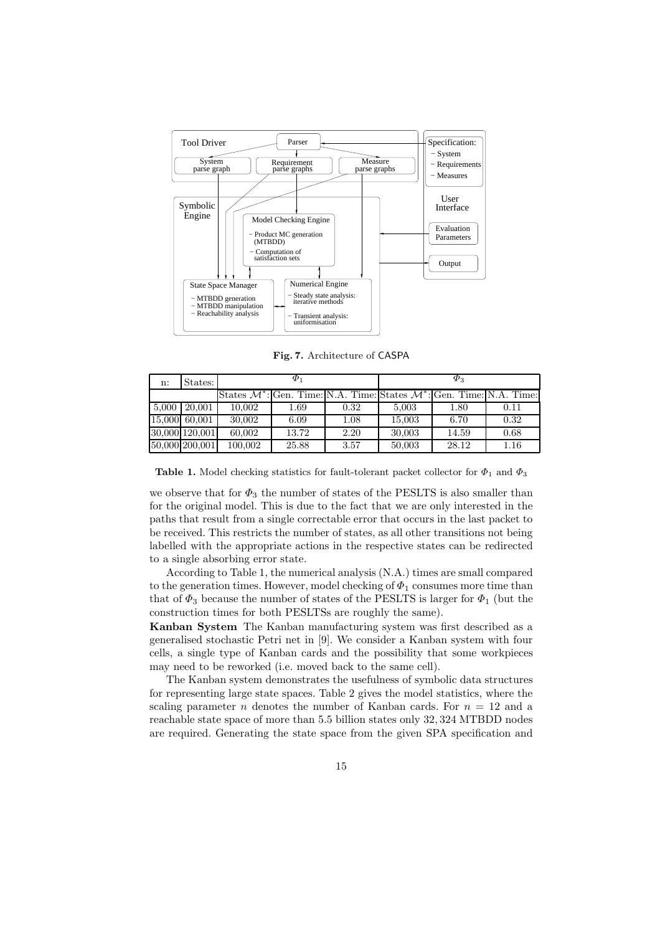

Fig. 7. Architecture of CASPA

| n:    | States:        | $\Phi_1$                                                                                      |       |      | $\varphi$ |       |      |
|-------|----------------|-----------------------------------------------------------------------------------------------|-------|------|-----------|-------|------|
|       |                | States $\mathcal{M}^*$ : Gen. Time: N.A. Time: States $\mathcal{M}^*$ : Gen. Time: N.A. Time: |       |      |           |       |      |
| 5,000 | 20,001         | 10,002                                                                                        | 1.69  | 0.32 | 5,003     | 1.80  | 0.11 |
|       | 15,000 60,001  | 30,002                                                                                        | 6.09  | 1.08 | 15,003    | 6.70  | 0.32 |
|       | 30,000 120,001 | 60,002                                                                                        | 13.72 | 2.20 | 30,003    | 14.59 | 0.68 |
|       | 50,000 200,001 | 100,002                                                                                       | 25.88 | 3.57 | 50,003    | 28.12 | 1.16 |

**Table 1.** Model checking statistics for fault-tolerant packet collector for  $\Phi_1$  and  $\Phi_3$ 

we observe that for  $\Phi_3$  the number of states of the PESLTS is also smaller than for the original model. This is due to the fact that we are only interested in the paths that result from a single correctable error that occurs in the last packet to be received. This restricts the number of states, as all other transitions not being labelled with the appropriate actions in the respective states can be redirected to a single absorbing error state.

According to Table 1, the numerical analysis (N.A.) times are small compared to the generation times. However, model checking of  $\Phi_1$  consumes more time than that of  $\Phi_3$  because the number of states of the PESLTS is larger for  $\Phi_1$  (but the construction times for both PESLTSs are roughly the same).

Kanban System The Kanban manufacturing system was first described as a generalised stochastic Petri net in [9]. We consider a Kanban system with four cells, a single type of Kanban cards and the possibility that some workpieces may need to be reworked (i.e. moved back to the same cell).

The Kanban system demonstrates the usefulness of symbolic data structures for representing large state spaces. Table 2 gives the model statistics, where the scaling parameter *n* denotes the number of Kanban cards. For  $n = 12$  and a reachable state space of more than 5.5 billion states only 32, 324 MTBDD nodes are required. Generating the state space from the given SPA specification and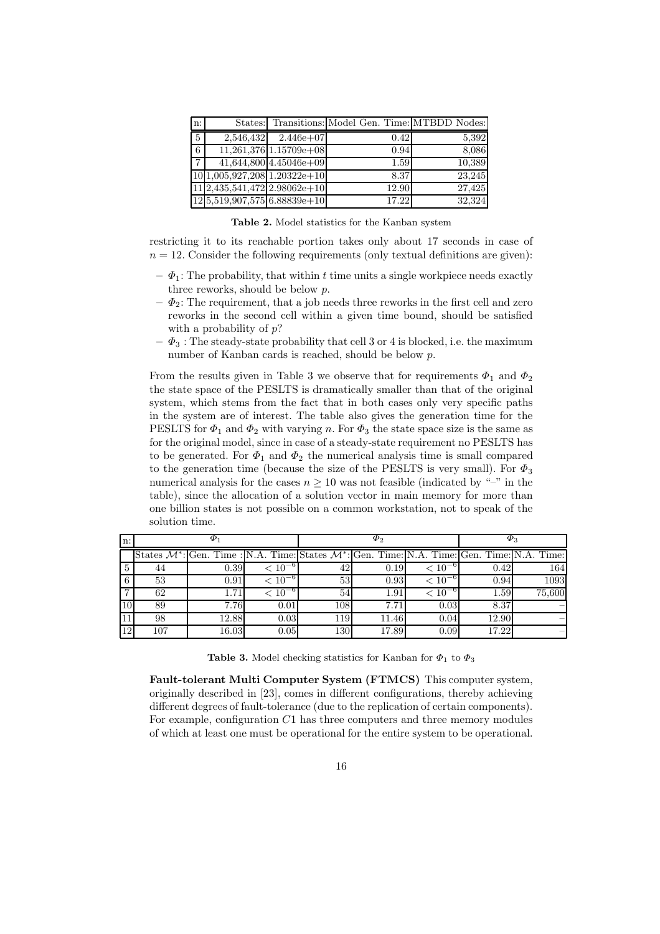| $n$ :          |                                |                               | States: Transitions: Model Gen. Time: MTBDD Nodes: |        |
|----------------|--------------------------------|-------------------------------|----------------------------------------------------|--------|
| 5              | 2,546,432                      | $2.446e+07$                   | 0.42                                               | 5,392  |
| 6              |                                | $11,261,376$ $1.15709e+08$    | 0.94                                               | 8,086  |
| $\overline{7}$ |                                | $41,644,800$ $4.45046$ e + 09 | 1.59                                               | 10,389 |
|                | $10 1,005,927,208 1.20322e+10$ |                               | 8.37                                               | 23,245 |
|                | $11 2,435,541,472 2.98062e+10$ |                               | 12.90                                              | 27,425 |
|                | 12 5,519,907,575 6.88839e+10   |                               | 17.22                                              | 32,324 |

Table 2. Model statistics for the Kanban system

restricting it to its reachable portion takes only about 17 seconds in case of  $n = 12$ . Consider the following requirements (only textual definitions are given):

- $-\Phi_1$ : The probability, that within t time units a single workpiece needs exactly three reworks, should be below  $p$ .
- $-\Phi_2$ : The requirement, that a job needs three reworks in the first cell and zero reworks in the second cell within a given time bound, should be satisfied with a probability of  $p$ ?
- $-\Phi_3$ : The steady-state probability that cell 3 or 4 is blocked, i.e. the maximum number of Kanban cards is reached, should be below p.

From the results given in Table 3 we observe that for requirements  $\Phi_1$  and  $\Phi_2$ the state space of the PESLTS is dramatically smaller than that of the original system, which stems from the fact that in both cases only very specific paths in the system are of interest. The table also gives the generation time for the PESLTS for  $\Phi_1$  and  $\Phi_2$  with varying n. For  $\Phi_3$  the state space size is the same as for the original model, since in case of a steady-state requirement no PESLTS has to be generated. For  $\Phi_1$  and  $\Phi_2$  the numerical analysis time is small compared to the generation time (because the size of the PESLTS is very small). For  $\Phi_3$ numerical analysis for the cases  $n > 10$  was not feasible (indicated by "-" in the table), since the allocation of a solution vector in main memory for more than one billion states is not possible on a common workstation, not to speak of the solution time.

| n: | $\varphi_1$ |                                                                                                                      |             | $\varphi_2$ |       |                  |       |        |
|----|-------------|----------------------------------------------------------------------------------------------------------------------|-------------|-------------|-------|------------------|-------|--------|
|    |             | States $\mathcal{M}^*$ : Gen. Time : N.A. Time: States $\mathcal{M}^*$ : Gen. Time: N.A. Time: Gen. Time: N.A. Time: |             |             |       |                  |       |        |
| 5  | 44          | 0.39                                                                                                                 | $< 10^{-6}$ | 42          | 0.19  | $< 10^{-6}$      | 0.42  | 164    |
|    | 53          | 0.91                                                                                                                 | $< 10^{-6}$ | 53          | 0.93  | $< 10^{-6}$      | 0.94  | 1093   |
|    | 62          | 1.71                                                                                                                 | $< 10^{-6}$ | 54          | 1.91  | $\sqrt{10^{-6}}$ | 1.59  | 75,600 |
| 10 | 89          | 7.76                                                                                                                 | 0.01        | 108         | 7.71  | 0.03             | 8.37  |        |
|    | 98          | 12.88                                                                                                                | 0.03        | 119         | 11.46 | 0.04             | 12.90 |        |
| 12 | $107\,$     | 16.03                                                                                                                | 0.05        | 130         | 17.89 | 0.09             | 17.22 |        |

Table 3. Model checking statistics for Kanban for  $\Phi_1$  to  $\Phi_3$ 

Fault-tolerant Multi Computer System (FTMCS) This computer system, originally described in [23], comes in different configurations, thereby achieving different degrees of fault-tolerance (due to the replication of certain components). For example, configuration  $C1$  has three computers and three memory modules of which at least one must be operational for the entire system to be operational.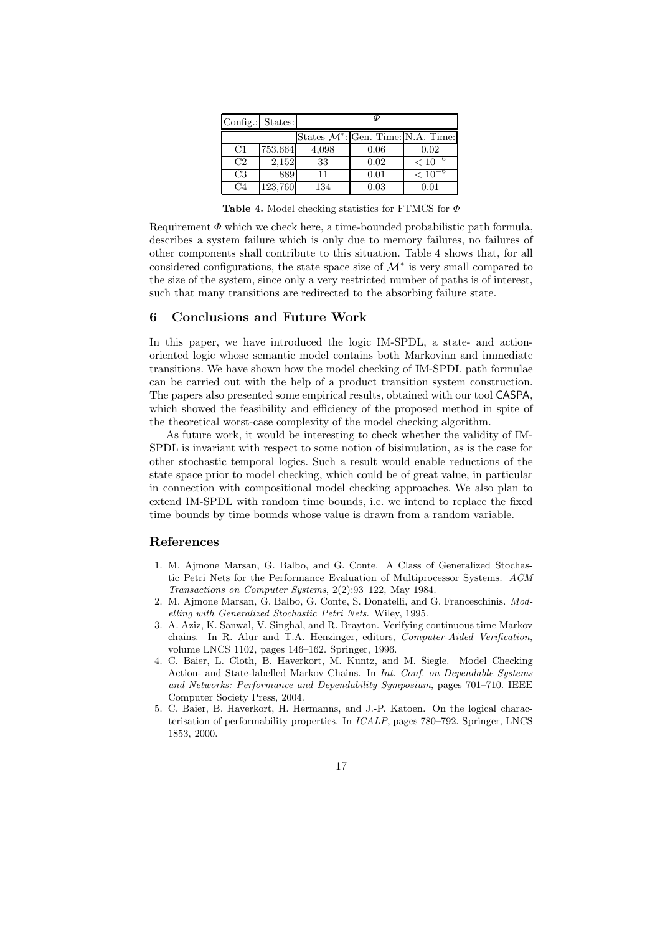| Config.: States: |         |       |                                                |             |  |
|------------------|---------|-------|------------------------------------------------|-------------|--|
|                  |         |       | States $\mathcal{M}^*$ : Gen. Time: N.A. Time: |             |  |
| C1               | 753,664 | 4,098 | 0.06                                           | 0.02        |  |
| C2               | 2.152   | 33    | 0.02                                           | $< 10^{-6}$ |  |
| C <sub>3</sub>   |         | 11    | 0.01                                           | $< 10^{-6}$ |  |
|                  | 123,760 | 134   | 0.03                                           |             |  |

**Table 4.** Model checking statistics for FTMCS for  $\Phi$ 

Requirement  $\Phi$  which we check here, a time-bounded probabilistic path formula, describes a system failure which is only due to memory failures, no failures of other components shall contribute to this situation. Table 4 shows that, for all considered configurations, the state space size of  $\mathcal{M}^*$  is very small compared to the size of the system, since only a very restricted number of paths is of interest, such that many transitions are redirected to the absorbing failure state.

## 6 Conclusions and Future Work

In this paper, we have introduced the logic IM-SPDL, a state- and actionoriented logic whose semantic model contains both Markovian and immediate transitions. We have shown how the model checking of IM-SPDL path formulae can be carried out with the help of a product transition system construction. The papers also presented some empirical results, obtained with our tool CASPA, which showed the feasibility and efficiency of the proposed method in spite of the theoretical worst-case complexity of the model checking algorithm.

As future work, it would be interesting to check whether the validity of IM-SPDL is invariant with respect to some notion of bisimulation, as is the case for other stochastic temporal logics. Such a result would enable reductions of the state space prior to model checking, which could be of great value, in particular in connection with compositional model checking approaches. We also plan to extend IM-SPDL with random time bounds, i.e. we intend to replace the fixed time bounds by time bounds whose value is drawn from a random variable.

## References

- 1. M. Ajmone Marsan, G. Balbo, and G. Conte. A Class of Generalized Stochastic Petri Nets for the Performance Evaluation of Multiprocessor Systems. ACM Transactions on Computer Systems, 2(2):93–122, May 1984.
- 2. M. Ajmone Marsan, G. Balbo, G. Conte, S. Donatelli, and G. Franceschinis. Modelling with Generalized Stochastic Petri Nets. Wiley, 1995.
- 3. A. Aziz, K. Sanwal, V. Singhal, and R. Brayton. Verifying continuous time Markov chains. In R. Alur and T.A. Henzinger, editors, Computer-Aided Verification, volume LNCS 1102, pages 146–162. Springer, 1996.
- 4. C. Baier, L. Cloth, B. Haverkort, M. Kuntz, and M. Siegle. Model Checking Action- and State-labelled Markov Chains. In Int. Conf. on Dependable Systems and Networks: Performance and Dependability Symposium, pages 701–710. IEEE Computer Society Press, 2004.
- 5. C. Baier, B. Haverkort, H. Hermanns, and J.-P. Katoen. On the logical characterisation of performability properties. In ICALP, pages 780–792. Springer, LNCS 1853, 2000.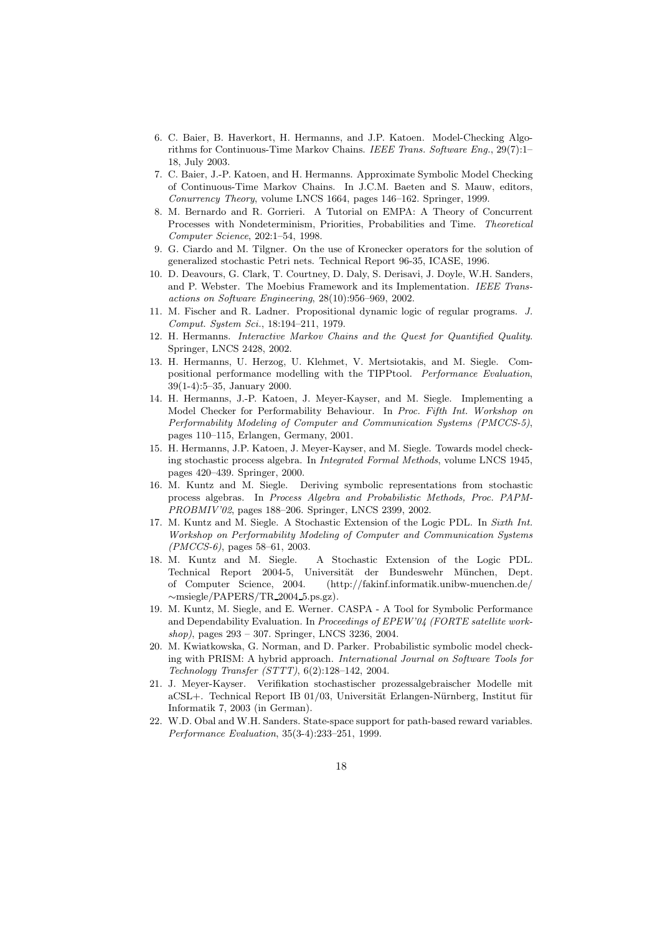- 6. C. Baier, B. Haverkort, H. Hermanns, and J.P. Katoen. Model-Checking Algorithms for Continuous-Time Markov Chains. IEEE Trans. Software Eng., 29(7):1– 18, July 2003.
- 7. C. Baier, J.-P. Katoen, and H. Hermanns. Approximate Symbolic Model Checking of Continuous-Time Markov Chains. In J.C.M. Baeten and S. Mauw, editors, Conurrency Theory, volume LNCS 1664, pages 146–162. Springer, 1999.
- 8. M. Bernardo and R. Gorrieri. A Tutorial on EMPA: A Theory of Concurrent Processes with Nondeterminism, Priorities, Probabilities and Time. Theoretical Computer Science, 202:1–54, 1998.
- 9. G. Ciardo and M. Tilgner. On the use of Kronecker operators for the solution of generalized stochastic Petri nets. Technical Report 96-35, ICASE, 1996.
- 10. D. Deavours, G. Clark, T. Courtney, D. Daly, S. Derisavi, J. Doyle, W.H. Sanders, and P. Webster. The Moebius Framework and its Implementation. IEEE Transactions on Software Engineering, 28(10):956–969, 2002.
- 11. M. Fischer and R. Ladner. Propositional dynamic logic of regular programs. J. Comput. System Sci., 18:194–211, 1979.
- 12. H. Hermanns. Interactive Markov Chains and the Quest for Quantified Quality. Springer, LNCS 2428, 2002.
- 13. H. Hermanns, U. Herzog, U. Klehmet, V. Mertsiotakis, and M. Siegle. Compositional performance modelling with the TIPPtool. Performance Evaluation, 39(1-4):5–35, January 2000.
- 14. H. Hermanns, J.-P. Katoen, J. Meyer-Kayser, and M. Siegle. Implementing a Model Checker for Performability Behaviour. In Proc. Fifth Int. Workshop on Performability Modeling of Computer and Communication Systems (PMCCS-5), pages 110–115, Erlangen, Germany, 2001.
- 15. H. Hermanns, J.P. Katoen, J. Meyer-Kayser, and M. Siegle. Towards model checking stochastic process algebra. In Integrated Formal Methods, volume LNCS 1945, pages 420–439. Springer, 2000.
- 16. M. Kuntz and M. Siegle. Deriving symbolic representations from stochastic process algebras. In Process Algebra and Probabilistic Methods, Proc. PAPM-PROBMIV'02, pages 188–206. Springer, LNCS 2399, 2002.
- 17. M. Kuntz and M. Siegle. A Stochastic Extension of the Logic PDL. In Sixth Int. Workshop on Performability Modeling of Computer and Communication Systems  $(PMCCS-6)$ , pages 58–61, 2003.
- 18. M. Kuntz and M. Siegle. A Stochastic Extension of the Logic PDL. Technical Report 2004-5, Universität der Bundeswehr München, Dept. of Computer Science, 2004. (http://fakinf.informatik.unibw-muenchen.de/ ∼msiegle/PAPERS/TR 2004 5.ps.gz).
- 19. M. Kuntz, M. Siegle, and E. Werner. CASPA A Tool for Symbolic Performance and Dependability Evaluation. In Proceedings of EPEW'04 (FORTE satellite workshop), pages 293 – 307. Springer, LNCS 3236, 2004.
- 20. M. Kwiatkowska, G. Norman, and D. Parker. Probabilistic symbolic model checking with PRISM: A hybrid approach. International Journal on Software Tools for Technology Transfer (STTT), 6(2):128–142, 2004.
- 21. J. Meyer-Kayser. Verifikation stochastischer prozessalgebraischer Modelle mit aCSL+. Technical Report IB 01/03, Universität Erlangen-Nürnberg, Institut für Informatik 7, 2003 (in German).
- 22. W.D. Obal and W.H. Sanders. State-space support for path-based reward variables. Performance Evaluation, 35(3-4):233–251, 1999.